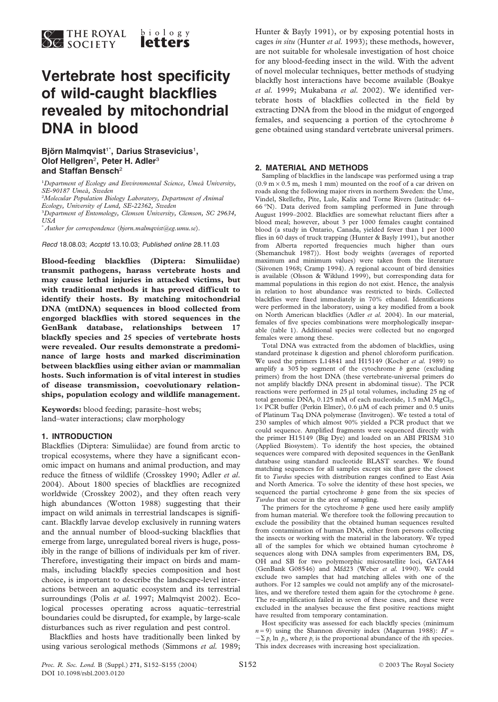

# **Vertebrate host specificity of wild-caught blackflies revealed by mitochondrial DNA in blood**

**Bjo¨rn Malmqvist**1\***, Darius Strasevicius**<sup>1</sup> **, Olof Hellgren**<sup>2</sup> **, Peter H. Adler**<sup>3</sup> **and Staffan Bensch**<sup>2</sup>

1 *Department of Ecology and Environmental Science, Umea˚ University, SE-90187 Umea˚, Sweden*

2 *Molecular Population Biology Laboratory, Department of Animal Ecology, University of Lund, SE-22362, Sweden*

3 *Department of Entomology, Clemson University, Clemson, SC 29634, USA*

\* *Author for correspondence* (*bjorn.malmqvist@eg.umu.se*).

*Recd* 18.08.03; *Accptd* 13.10.03; *Published online* 28.11.03

**Blood-feeding blackflies (Diptera: Simuliidae) transmit pathogens, harass vertebrate hosts and may cause lethal injuries in attacked victims, but** with traditional methods it has proved difficult to **identify their hosts. By matching mitochondrial DNA (mtDNA) sequences in blood collected from engorged blackflies with stored sequences in the GenBank database, relationships between 17 blackfly species and 25 species of vertebrate hosts were revealed. Our results demonstrate a predominance of large hosts and marked discrimination between blackflies using either avian or mammalian hosts. Such information is of vital interest in studies of disease transmission, coevolutionary relationships, population ecology and wildlife management.**

**Keywords:** blood feeding; parasite–host webs; land–water interactions; claw morphology

## **1. INTRODUCTION**

Blackflies (Diptera: Simuliidae) are found from arctic to tropical ecosystems, where they have a significant economic impact on humans and animal production, and may reduce the fitness of wildlife (Crosskey 1990; Adler *et al*. 2004). About 1800 species of blackflies are recognized worldwide (Crosskey 2002), and they often reach very high abundances (Wotton 1988) suggesting that their impact on wild animals in terrestrial landscapes is significant. Blackfly larvae develop exclusively in running waters and the annual number of blood-sucking blackflies that emerge from large, unregulated boreal rivers is huge, possibly in the range of billions of individuals per km of river. Therefore, investigating their impact on birds and mammals, including blackfly species composition and host choice, is important to describe the landscape-level interactions between an aquatic ecosystem and its terrestrial surroundings (Polis *et al.* 1997; Malmqvist 2002). Ecological processes operating across aquatic–terrestrial boundaries could be disrupted, for example, by large-scale disturbances such as river regulation and pest control.

Blackflies and hosts have traditionally been linked by using various serological methods (Simmons *et al.* 1989; Hunter & Bayly 1991), or by exposing potential hosts in cages *in situ* (Hunter *et al.* 1993); these methods, however, are not suitable for wholesale investigation of host choice for any blood-feeding insect in the wild. With the advent of novel molecular techniques, better methods of studying blackfly host interactions have become available (Boakye *et al.* 1999; Mukabana *et al.* 2002). We identified vertebrate hosts of blackflies collected in the field by extracting DNA from the blood in the midgut of engorged females, and sequencing a portion of the cytochrome *b* gene obtained using standard vertebrate universal primers.

### **2. MATERIAL AND METHODS**

Sampling of blackflies in the landscape was performed using a trap  $(0.9 \text{ m} \times 0.5 \text{ m}$ , mesh 1 mm) mounted on the roof of a car driven on roads along the following major rivers in northern Sweden: the Ume, Vindel, Skellefte, Pite, Lule, Kalix and Torne Rivers (latitude: 64– 66 °N). Data derived from sampling performed in June through August 1999–2002. Blackflies are somewhat reluctant fliers after a blood meal; however, about 3 per 1000 females caught contained blood (a study in Ontario, Canada, yielded fewer than 1 per 1000 flies in 60 days of truck trapping (Hunter & Bayly 1991), but another from Alberta reported frequencies much higher than ours (Shemanchuk 1987)). Host body weights (averages of reported maximum and minimum values) were taken from the literature (Siivonen 1968; Cramp 1994). A regional account of bird densities is available (Olsson & Wiklund 1999), but corresponding data for mammal populations in this region do not exist. Hence, the analysis in relation to host abundance was restricted to birds. Collected blackflies were fixed immediately in 70% ethanol. Identifications were performed in the laboratory, using a key modified from a book on North American blackflies (Adler *et al.* 2004). In our material, females of five species combinations were morphologically inseparable (table 1). Additional species were collected but no engorged females were among these.

Total DNA was extracted from the abdomen of blackflies, using standard proteinase k digestion and phenol chloroform purification. We used the primers L14841 and H15149 (Kocher *et al.* 1989) to amplify a 305 bp segment of the cytochrome *b* gene (excluding primers) from the host DNA (these vertebrate-universal primers do not amplify blackfly DNA present in abdominal tissue). The PCR reactions were performed in 25 µl total volumes, including 25 ng of total genomic DNA,  $0.125$  mM of each nucleotide,  $1.5$  mM  $MgCl<sub>2</sub>$ ,  $1\times$  PCR buffer (Perkin Elmer), 0.6  $\mu$ M of each primer and 0.5 units of Platinum Taq DNA polymerase (Invitrogen). We tested a total of 230 samples of which almost 90% yielded a PCR product that we could sequence. Amplified fragments were sequenced directly with the primer H15149 (Big Dye) and loaded on an ABI PRISM 310 (Applied Biosystem). To identify the host species, the obtained sequences were compared with deposited sequences in the GenBank database using standard nucleotide BLAST searches. We found matching sequences for all samples except six that gave the closest fit to *Turdus* species with distribution ranges confined to East Asia and North America. To solve the identity of these host species, we sequenced the partial cytochrome *b* gene from the six species of *Turdus* that occur in the area of sampling.

The primers for the cytochrome *b* gene used here easily amplify from human material. We therefore took the following precaution to exclude the possibility that the obtained human sequences resulted from contamination of human DNA, either from persons collecting the insects or working with the material in the laboratory. We typed all of the samples for which we obtained human cytochrome *b* sequences along with DNA samples from experimenters BM, DS, OH and SB for two polymorphic microsatellite loci, GATA44 (GenBank G08546) and Mfd23 (Weber *et al.* 1990). We could exclude two samples that had matching alleles with one of the authors. For 12 samples we could not amplify any of the microsatellites, and we therefore tested them again for the cytochrome *b* gene. The re-amplification failed in seven of these cases, and these were excluded in the analyses because the first positive reactions might have resulted from temporary contamination.

Host specificity was assessed for each blackfly species (minimum  $n = 9$ ) using the Shannon diversity index (Magurran 1988):  $H' =$  $-\sum p_i \ln p_i$ , where  $p_i$  is the proportional abundance of the *i*th species. This index decreases with increasing host specialization.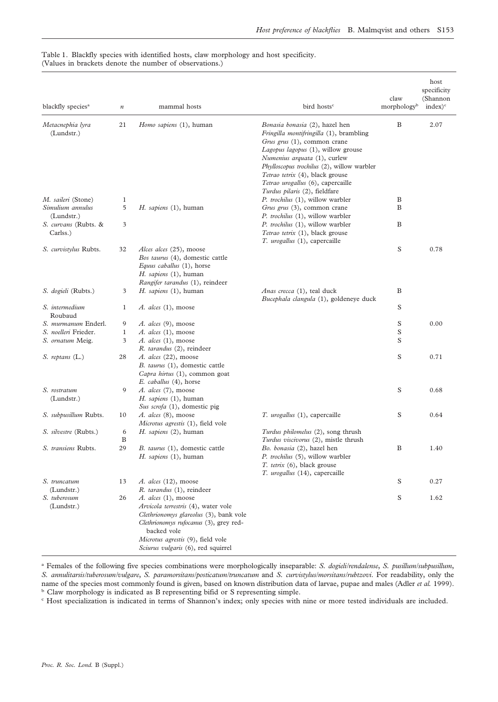#### Table 1. Blackfly species with identified hosts, claw morphology and host specificity. (Values in brackets denote the number of observations.)

| blackfly species <sup>a</sup>    | $\boldsymbol{n}$ | mammal hosts                                                                                                                                                                                                                                         | bird hosts <sup>c</sup>                                                                                                                                                                                                                                                                                                                      | claw<br>morphologyb | host<br>specificity<br>(Shannon<br>$index$ <sup>c</sup> |
|----------------------------------|------------------|------------------------------------------------------------------------------------------------------------------------------------------------------------------------------------------------------------------------------------------------------|----------------------------------------------------------------------------------------------------------------------------------------------------------------------------------------------------------------------------------------------------------------------------------------------------------------------------------------------|---------------------|---------------------------------------------------------|
| Metacnephia lyra<br>(Lundstr.)   | 21               | Homo sapiens (1), human                                                                                                                                                                                                                              | Bonasia bonasia (2), hazel hen<br>Fringilla montifringilla (1), brambling<br>Grus grus (1), common crane<br>Lagopus lagopus (1), willow grouse<br>Numenius arquata (1), curlew<br>Phylloscopus trochilus (2), willow warbler<br><i>Tetrao tetrix</i> (4), black grouse<br>Tetrao urogallus (6), capercaille<br>Turdus pilaris (2), fieldfare | B                   | 2.07                                                    |
| M. saileri (Stone)               | $\mathbf{1}$     |                                                                                                                                                                                                                                                      | P. trochilus (1), willow warbler                                                                                                                                                                                                                                                                                                             | B                   |                                                         |
| Simulium annulus<br>(Lundstr.)   | 5                | <i>H. sapiens</i> (1), human                                                                                                                                                                                                                         | Grus grus (3), common crane<br>P. trochilus (1), willow warbler                                                                                                                                                                                                                                                                              | B                   |                                                         |
| S. curvans (Rubts. &<br>Carlss.) | 3                |                                                                                                                                                                                                                                                      | P. trochilus (1), willow warbler<br>Tetrao tetrix (1), black grouse<br>T. urogallus (1), capercaille                                                                                                                                                                                                                                         | B                   |                                                         |
| S. curvistylus Rubts.            | 32               | Alces alces (25), moose<br>Bos taurus (4), domestic cattle<br>Equus caballus (1), horse<br>H. sapiens (1), human<br>Rangifer tarandus (1), reindeer                                                                                                  |                                                                                                                                                                                                                                                                                                                                              | S                   | 0.78                                                    |
| S. dogieli (Rubts.)              | 3                | H. sapiens (1), human                                                                                                                                                                                                                                | <i>Anas crecca</i> (1), teal duck<br>Bucephala clangula (1), goldeneye duck                                                                                                                                                                                                                                                                  | B                   |                                                         |
| S. intermedium<br>Roubaud        | 1                | $A.$ alces $(1)$ , moose                                                                                                                                                                                                                             |                                                                                                                                                                                                                                                                                                                                              | S                   |                                                         |
| S. murmanum Enderl.              | 9                | A. alces (9), moose                                                                                                                                                                                                                                  |                                                                                                                                                                                                                                                                                                                                              | S                   | 0.00                                                    |
| S. noelleri Frieder.             | 1                | $A.$ alces $(1)$ , moose                                                                                                                                                                                                                             |                                                                                                                                                                                                                                                                                                                                              | S                   |                                                         |
| S. ornatum Meig.                 | 3                | A. alces (1), moose<br>R. tarandus (2), reindeer                                                                                                                                                                                                     |                                                                                                                                                                                                                                                                                                                                              | S                   |                                                         |
| S. reptans (L.)                  | 28               | A. alces (22), moose<br>B. taurus (1), domestic cattle<br>Capra hirtus (1), common goat<br><i>E. caballus</i> (4), horse                                                                                                                             |                                                                                                                                                                                                                                                                                                                                              | S                   | 0.71                                                    |
| S. rostratum<br>(Lundstr.)       | 9                | A. alces (7), moose<br>H. sapiens (1), human<br>Sus scrofa (1), domestic pig                                                                                                                                                                         |                                                                                                                                                                                                                                                                                                                                              | S                   | 0.68                                                    |
| S. subpusillum Rubts.            | 10               | A. alces (8), moose<br>Microtus agrestis (1), field vole                                                                                                                                                                                             | T. urogallus (1), capercaille                                                                                                                                                                                                                                                                                                                | S                   | 0.64                                                    |
| S. silvestre (Rubts.)            | 6<br>B           | <i>H. sapiens</i> (2), human                                                                                                                                                                                                                         | <i>Turdus philomelus</i> (2), song thrush<br>Turdus viscivorus (2), mistle thrush                                                                                                                                                                                                                                                            |                     |                                                         |
| <i>S. transiens</i> Rubts.       | 29               | B. taurus (1), domestic cattle<br><i>H. sapiens</i> (1), human                                                                                                                                                                                       | Bo. bonasia (2), hazel hen<br>P. trochilus (5), willow warbler<br>T. tetrix (6), black grouse<br>T. <i>urogallus</i> (14), capercaille                                                                                                                                                                                                       | В                   | 1.40                                                    |
| S. truncatum<br>(Lundstr.)       | 13               | A. alces (12), moose<br>R. tarandus (1), reindeer                                                                                                                                                                                                    |                                                                                                                                                                                                                                                                                                                                              | S                   | 0.27                                                    |
| S. tuberosum<br>(Lundstr.)       | 26               | $A.$ alces $(1)$ , moose<br>Arvicola terrestris (4), water vole<br><i>Clethrionomys glareolus</i> (3), bank vole<br>Clethrionomys rufocanus (3), grey red-<br>backed vole<br>Microtus agrestis (9), field vole<br>Sciurus vulgaris (6), red squirrel |                                                                                                                                                                                                                                                                                                                                              | S                   | 1.62                                                    |

<sup>a</sup> Females of the following five species combinations were morphologically inseparable: *S. dogieli/rendalense*, *S. pusillum/subpusillum*, *S. annulitarsis/tuberosum/vulgare*, *S. paramorsitans/posticatum/truncatum* and *S. curvistylus/morsitans/rubtzovi*. For readability, only the name of the species most commonly found is given, based on known distribution data of larvae, pupae and males (Adler *et al.* 1999). <sup>b</sup> Claw morphology is indicated as B representing bifid or S representing simple.

<sup>c</sup> Host specialization is indicated in terms of Shannon's index; only species with nine or more tested individuals are included.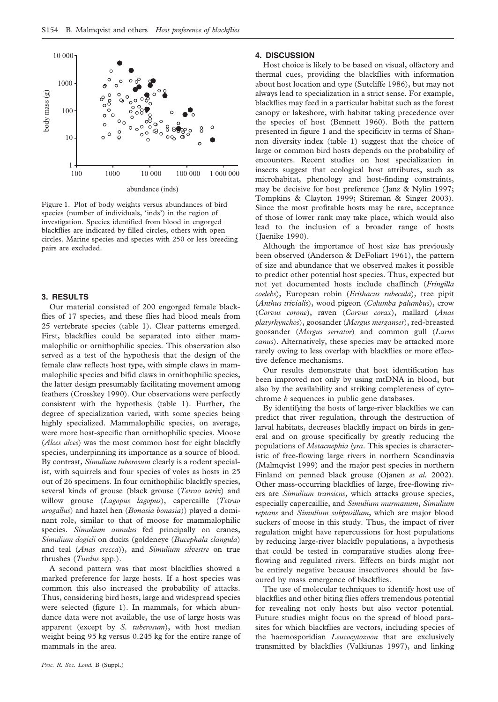

Figure 1. Plot of body weights versus abundances of bird species (number of individuals, 'inds') in the region of investigation. Species identified from blood in engorged blackflies are indicated by filled circles, others with open circles. Marine species and species with 250 or less breeding pairs are excluded.

#### **3. RESULTS**

Our material consisted of 200 engorged female blackflies of 17 species, and these flies had blood meals from 25 vertebrate species (table 1). Clear patterns emerged. First, blackflies could be separated into either mammalophilic or ornithophilic species. This observation also served as a test of the hypothesis that the design of the female claw reflects host type, with simple claws in mammalophilic species and bifid claws in ornithophilic species, the latter design presumably facilitating movement among feathers (Crosskey 1990). Our observations were perfectly consistent with the hypothesis (table 1). Further, the degree of specialization varied, with some species being highly specialized. Mammalophilic species, on average, were more host-specific than ornithophilic species. Moose (*Alces alces*) was the most common host for eight blackfly species, underpinning its importance as a source of blood. By contrast, *Simulium tuberosum* clearly is a rodent specialist, with squirrels and four species of voles as hosts in 25 out of 26 specimens. In four ornithophilic blackfly species, several kinds of grouse (black grouse (*Tetrao tetrix*) and willow grouse (*Lagopus lagopus*), capercaille (*Tetrao urogallus*) and hazel hen (*Bonasia bonasia*)) played a dominant role, similar to that of moose for mammalophilic species. *Simulium annulus* fed principally on cranes, *Simulium dogieli* on ducks (goldeneye (*Bucephala clangula*) and teal (*Anas crecca*)), and *Simulium silvestre* on true thrushes (*Turdus* spp.).

A second pattern was that most blackflies showed a marked preference for large hosts. If a host species was common this also increased the probability of attacks. Thus, considering bird hosts, large and widespread species were selected (figure 1). In mammals, for which abundance data were not available, the use of large hosts was apparent (except by *S. tuberosum*), with host median weight being 95 kg versus 0.245 kg for the entire range of mammals in the area.

Host choice is likely to be based on visual, olfactory and thermal cues, providing the blackflies with information about host location and type (Sutcliffe 1986), but may not always lead to specialization in a strict sense. For example, blackflies may feed in a particular habitat such as the forest canopy or lakeshore, with habitat taking precedence over the species of host (Bennett 1960). Both the pattern presented in figure 1 and the specificity in terms of Shannon diversity index (table 1) suggest that the choice of large or common bird hosts depends on the probability of encounters. Recent studies on host specialization in insects suggest that ecological host attributes, such as microhabitat, phenology and host-finding constraints, may be decisive for host preference (Janz & Nylin 1997; Tompkins & Clayton 1999; Stireman & Singer 2003). Since the most profitable hosts may be rare, acceptance of those of lower rank may take place, which would also lead to the inclusion of a broader range of hosts (Jaenike 1990).

Although the importance of host size has previously been observed (Anderson & DeFoliart 1961), the pattern of size and abundance that we observed makes it possible to predict other potential host species. Thus, expected but not yet documented hosts include chaffinch (*Fringilla coelebs*), European robin (*Erithacus rubecula*), tree pipit (*Anthus trivialis*), wood pigeon (*Columba palumbus*), crow (*Corvus corone*), raven (*Corvus corax*), mallard (*Anas platyrhynchos*), goosander (*Mergus merganser*), red-breasted goosander (*Mergus serrator*) and common gull (*Larus canus*). Alternatively, these species may be attacked more rarely owing to less overlap with blackflies or more effective defence mechanisms.

Our results demonstrate that host identification has been improved not only by using mtDNA in blood, but also by the availability and striking completeness of cytochrome *b* sequences in public gene databases.

By identifying the hosts of large-river blackflies we can predict that river regulation, through the destruction of larval habitats, decreases blackfly impact on birds in general and on grouse specifically by greatly reducing the populations of *Metacnephia lyra*. This species is characteristic of free-flowing large rivers in northern Scandinavia (Malmqvist 1999) and the major pest species in northern Finland on penned black grouse (Ojanen *et al.* 2002). Other mass-occurring blackflies of large, free-flowing rivers are *Simulium transiens*, which attacks grouse species, especially capercaillie, and *Simulium murmanum*, *Simulium reptans* and *Simulium subpusillum*, which are major blood suckers of moose in this study. Thus, the impact of river regulation might have repercussions for host populations by reducing large-river blackfly populations, a hypothesis that could be tested in comparative studies along freeflowing and regulated rivers. Effects on birds might not be entirely negative because insectivores should be favoured by mass emergence of blackflies.

The use of molecular techniques to identify host use of blackflies and other biting flies offers tremendous potential for revealing not only hosts but also vector potential. Future studies might focus on the spread of blood parasites for which blackflies are vectors, including species of the haemosporidian *Leucocytozoon* that are exclusively transmitted by blackflies (Valkiunas 1997), and linking